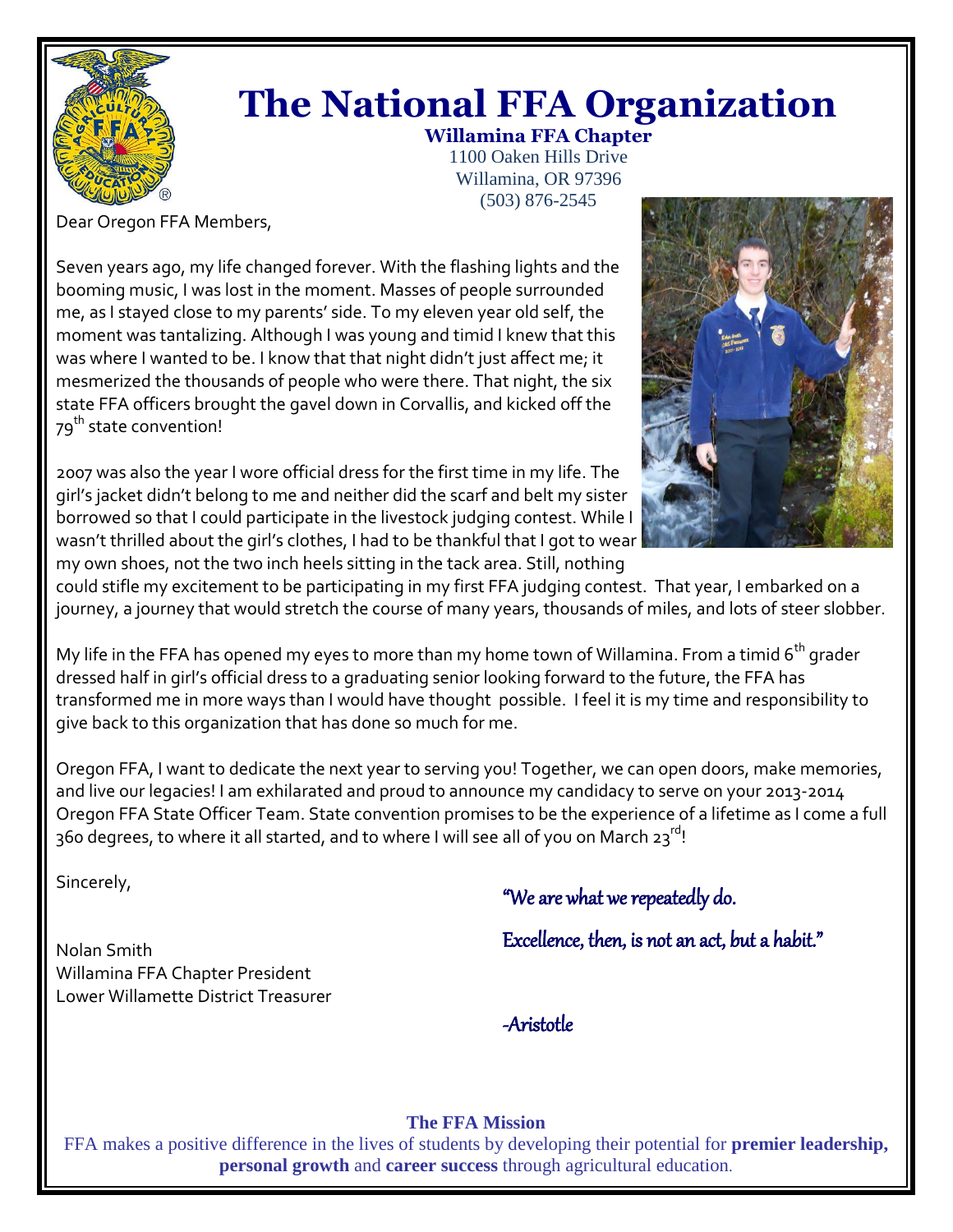

# **The National FFA Organization**

**Willamina FFA Chapter** 1100 Oaken Hills Drive Willamina, OR 97396 (503) 876-2545

Dear Oregon FFA Members,

Seven years ago, my life changed forever. With the flashing lights and the booming music, I was lost in the moment. Masses of people surrounded me, as I stayed close to my parents' side. To my eleven year old self, the moment was tantalizing. Although I was young and timid I knew that this was where I wanted to be. I know that that night didn't just affect me; it mesmerized the thousands of people who were there. That night, the six state FFA officers brought the gavel down in Corvallis, and kicked off the 79<sup>th</sup> state convention!

2007 was also the year I wore official dress for the first time in my life. The girl's jacket didn't belong to me and neither did the scarf and belt my sister borrowed so that I could participate in the livestock judging contest. While I wasn't thrilled about the girl's clothes, I had to be thankful that I got to wear my own shoes, not the two inch heels sitting in the tack area. Still, nothing



could stifle my excitement to be participating in my first FFA judging contest. That year, I embarked on a journey, a journey that would stretch the course of many years, thousands of miles, and lots of steer slobber.

My life in the FFA has opened my eyes to more than my home town of Willamina. From a timid  $6<sup>th</sup>$  grader dressed half in girl's official dress to a graduating senior looking forward to the future, the FFA has transformed me in more ways than I would have thought possible. I feel it is my time and responsibility to give back to this organization that has done so much for me.

Oregon FFA, I want to dedicate the next year to serving you! Together, we can open doors, make memories, and live our legacies! I am exhilarated and proud to announce my candidacy to serve on your 2013-2014 Oregon FFA State Officer Team. State convention promises to be the experience of a lifetime as I come a full 360 degrees, to where it all started, and to where I will see all of you on March 23rd!

Sincerely,

Nolan Smith Willamina FFA Chapter President Lower Willamette District Treasurer

## "We are what we repeatedly do.

Excellence, then, is not an act, but a habit."

-Aristotle

## **The FFA Mission**

FFA makes a positive difference in the lives of students by developing their potential for **premier leadership, personal growth** and **career success** through agricultural education.